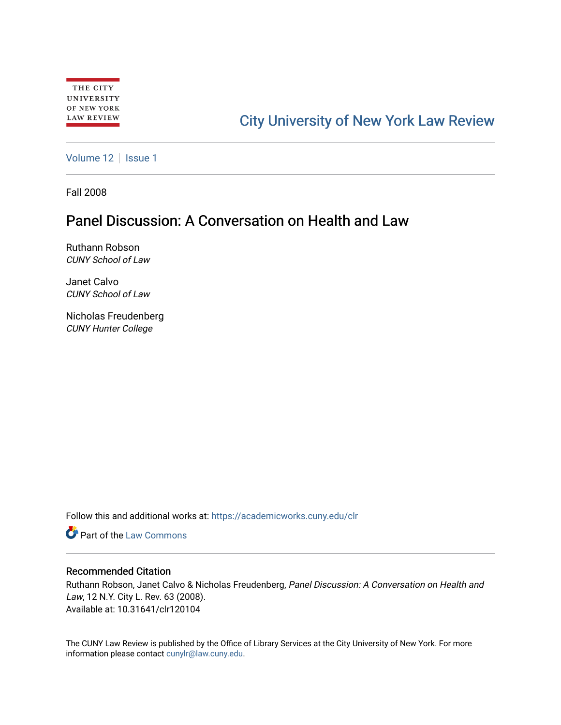# [City University of New York Law Review](https://academicworks.cuny.edu/clr)

[Volume 12](https://academicworks.cuny.edu/clr/vol12) | [Issue 1](https://academicworks.cuny.edu/clr/vol12/iss1)

Fall 2008

# Panel Discussion: A Conversation on Health and Law

Ruthann Robson CUNY School of Law

Janet Calvo CUNY School of Law

Nicholas Freudenberg CUNY Hunter College

Follow this and additional works at: [https://academicworks.cuny.edu/clr](https://academicworks.cuny.edu/clr?utm_source=academicworks.cuny.edu%2Fclr%2Fvol12%2Fiss1%2F5&utm_medium=PDF&utm_campaign=PDFCoverPages) 

**C** Part of the [Law Commons](http://network.bepress.com/hgg/discipline/578?utm_source=academicworks.cuny.edu%2Fclr%2Fvol12%2Fiss1%2F5&utm_medium=PDF&utm_campaign=PDFCoverPages)

## Recommended Citation

Ruthann Robson, Janet Calvo & Nicholas Freudenberg, Panel Discussion: A Conversation on Health and Law, 12 N.Y. City L. Rev. 63 (2008). Available at: 10.31641/clr120104

The CUNY Law Review is published by the Office of Library Services at the City University of New York. For more information please contact [cunylr@law.cuny.edu](mailto:cunylr@law.cuny.edu).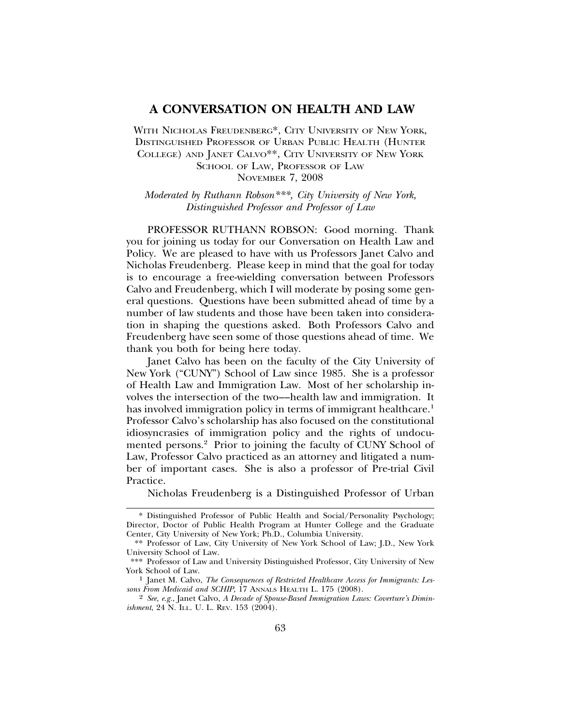### **A CONVERSATION ON HEALTH AND LAW**

WITH NICHOLAS FREUDENBERG<sup>\*</sup>, CITY UNIVERSITY OF NEW YORK, DISTINGUISHED PROFESSOR OF URBAN PUBLIC HEALTH (HUNTER COLLEGE) AND JANET CALVO\*\*, CITY UNIVERSITY OF NEW YORK SCHOOL OF LAW, PROFESSOR OF LAW NOVEMBER 7, 2008

*Moderated by Ruthann Robson\*\*\*, City University of New York, Distinguished Professor and Professor of Law*

PROFESSOR RUTHANN ROBSON: Good morning. Thank you for joining us today for our Conversation on Health Law and Policy. We are pleased to have with us Professors Janet Calvo and Nicholas Freudenberg. Please keep in mind that the goal for today is to encourage a free-wielding conversation between Professors Calvo and Freudenberg, which I will moderate by posing some general questions. Questions have been submitted ahead of time by a number of law students and those have been taken into consideration in shaping the questions asked. Both Professors Calvo and Freudenberg have seen some of those questions ahead of time. We thank you both for being here today.

Janet Calvo has been on the faculty of the City University of New York ("CUNY") School of Law since 1985. She is a professor of Health Law and Immigration Law. Most of her scholarship involves the intersection of the two––health law and immigration. It has involved immigration policy in terms of immigrant healthcare.<sup>1</sup> Professor Calvo's scholarship has also focused on the constitutional idiosyncrasies of immigration policy and the rights of undocumented persons.2 Prior to joining the faculty of CUNY School of Law, Professor Calvo practiced as an attorney and litigated a number of important cases. She is also a professor of Pre-trial Civil Practice.

Nicholas Freudenberg is a Distinguished Professor of Urban

<sup>\*</sup> Distinguished Professor of Public Health and Social/Personality Psychology; Director, Doctor of Public Health Program at Hunter College and the Graduate Center, City University of New York; Ph.D., Columbia University.

<sup>\*\*</sup> Professor of Law, City University of New York School of Law; J.D., New York University School of Law.

<sup>\*\*\*</sup> Professor of Law and University Distinguished Professor, City University of New

<sup>&</sup>lt;sup>1</sup> Janet M. Calvo, *The Consequences of Restricted Healthcare Access for Immigrants: Lessons From Medicaid and SCHIP*, 17 ANNALS HEALTH L. 175 (2008).

<sup>2</sup> *See, e.g.*, Janet Calvo, *A Decade of Spouse-Based Immigration Laws: Coverture's Diminishment*, 24 N. ILL. U. L. REV. 153 (2004).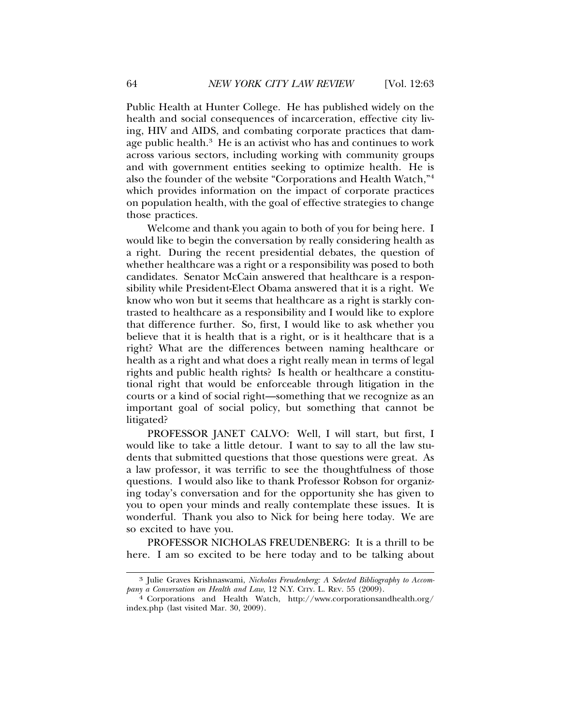Public Health at Hunter College. He has published widely on the health and social consequences of incarceration, effective city living, HIV and AIDS, and combating corporate practices that damage public health.<sup>3</sup> He is an activist who has and continues to work across various sectors, including working with community groups and with government entities seeking to optimize health. He is also the founder of the website "Corporations and Health Watch,"4 which provides information on the impact of corporate practices on population health, with the goal of effective strategies to change those practices.

Welcome and thank you again to both of you for being here. I would like to begin the conversation by really considering health as a right. During the recent presidential debates, the question of whether healthcare was a right or a responsibility was posed to both candidates. Senator McCain answered that healthcare is a responsibility while President-Elect Obama answered that it is a right. We know who won but it seems that healthcare as a right is starkly contrasted to healthcare as a responsibility and I would like to explore that difference further. So, first, I would like to ask whether you believe that it is health that is a right, or is it healthcare that is a right? What are the differences between naming healthcare or health as a right and what does a right really mean in terms of legal rights and public health rights? Is health or healthcare a constitutional right that would be enforceable through litigation in the courts or a kind of social right—something that we recognize as an important goal of social policy, but something that cannot be litigated?

PROFESSOR JANET CALVO: Well, I will start, but first, I would like to take a little detour. I want to say to all the law students that submitted questions that those questions were great. As a law professor, it was terrific to see the thoughtfulness of those questions. I would also like to thank Professor Robson for organizing today's conversation and for the opportunity she has given to you to open your minds and really contemplate these issues. It is wonderful. Thank you also to Nick for being here today. We are so excited to have you.

PROFESSOR NICHOLAS FREUDENBERG: It is a thrill to be here. I am so excited to be here today and to be talking about

<sup>3</sup> Julie Graves Krishnaswami, *Nicholas Freudenberg: A Selected Bibliography to Accom-*

<sup>&</sup>lt;sup>4</sup> Corporations and Health Watch, http://www.corporationsandhealth.org/ index.php (last visited Mar. 30, 2009).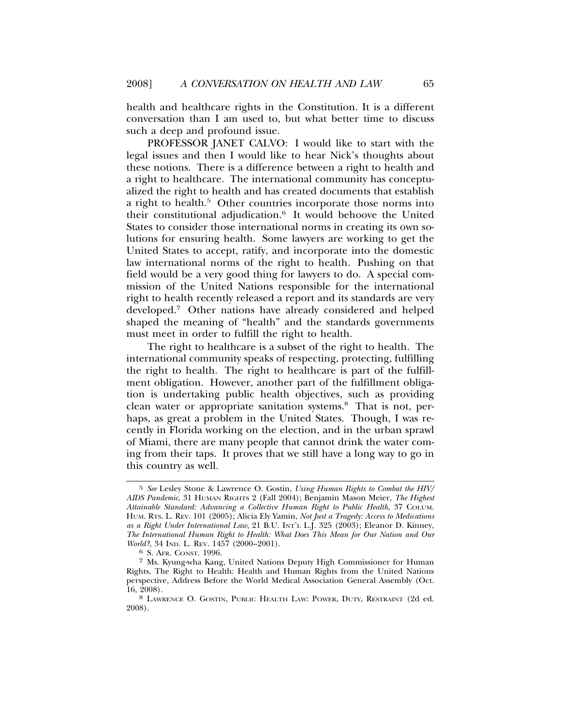health and healthcare rights in the Constitution. It is a different conversation than I am used to, but what better time to discuss such a deep and profound issue.

PROFESSOR JANET CALVO: I would like to start with the legal issues and then I would like to hear Nick's thoughts about these notions. There is a difference between a right to health and a right to healthcare. The international community has conceptualized the right to health and has created documents that establish a right to health.<sup>5</sup> Other countries incorporate those norms into their constitutional adjudication.6 It would behoove the United States to consider those international norms in creating its own solutions for ensuring health. Some lawyers are working to get the United States to accept, ratify, and incorporate into the domestic law international norms of the right to health. Pushing on that field would be a very good thing for lawyers to do. A special commission of the United Nations responsible for the international right to health recently released a report and its standards are very developed.7 Other nations have already considered and helped shaped the meaning of "health" and the standards governments must meet in order to fulfill the right to health.

The right to healthcare is a subset of the right to health. The international community speaks of respecting, protecting, fulfilling the right to health. The right to healthcare is part of the fulfillment obligation. However, another part of the fulfillment obligation is undertaking public health objectives, such as providing clean water or appropriate sanitation systems.8 That is not, perhaps, as great a problem in the United States. Though, I was recently in Florida working on the election, and in the urban sprawl of Miami, there are many people that cannot drink the water coming from their taps. It proves that we still have a long way to go in this country as well.

<sup>5</sup> *See* Lesley Stone & Lawrence O. Gostin, *Using Human Rights to Combat the HIV/ AIDS Pandemic*, 31 HUMAN RIGHTS 2 (Fall 2004); Benjamin Mason Meier, *The Highest Attainable Standard: Advancing a Collective Human Right to Public Health*, 37 COLUM. HUM. RTS. L. REV. 101 (2005); Alicia Ely Yamin, *Not Just a Tragedy: Access to Medications as a Right Under International Law*, 21 B.U. INT'L L.J. 325 (2003); Eleanor D. Kinney, *The International Human Right to Health: What Does This Mean for Our Nation and Our World?*, 34 IND. L. REV. 1457 (2000–2001).<br><sup>6</sup> S. AFR. CONST. 1996.

<sup>7</sup> Ms. Kyung-wha Kang, United Nations Deputy High Commissioner for Human Rights, The Right to Health: Health and Human Rights from the United Nations perspective, Address Before the World Medical Association General Assembly (Oct. 16, 2008). <sup>8</sup> LAWRENCE O. GOSTIN, PUBLIC HEALTH LAW: POWER, DUTY, RESTRAINT (2d ed.

<sup>2008).</sup>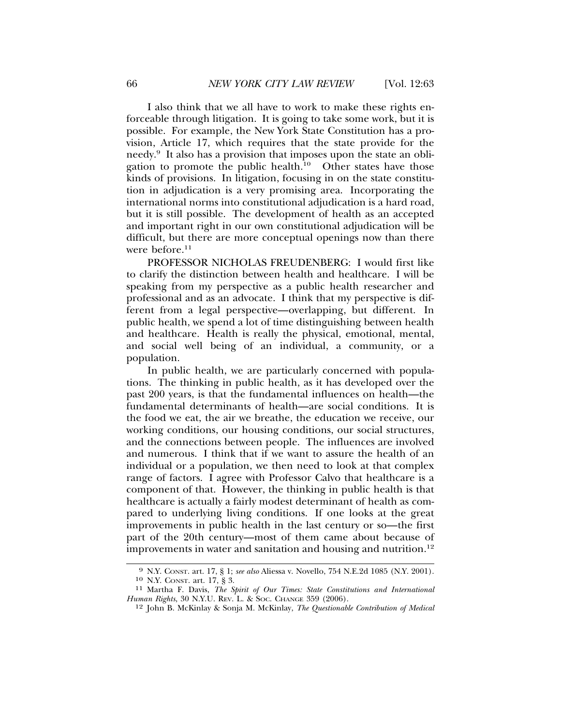I also think that we all have to work to make these rights enforceable through litigation. It is going to take some work, but it is possible. For example, the New York State Constitution has a provision, Article 17, which requires that the state provide for the needy.<sup>9</sup> It also has a provision that imposes upon the state an obligation to promote the public health. $^{10}$  Other states have those kinds of provisions. In litigation, focusing in on the state constitution in adjudication is a very promising area. Incorporating the international norms into constitutional adjudication is a hard road, but it is still possible. The development of health as an accepted and important right in our own constitutional adjudication will be difficult, but there are more conceptual openings now than there were before.<sup>11</sup>

PROFESSOR NICHOLAS FREUDENBERG: I would first like to clarify the distinction between health and healthcare. I will be speaking from my perspective as a public health researcher and professional and as an advocate. I think that my perspective is different from a legal perspective—overlapping, but different. In public health, we spend a lot of time distinguishing between health and healthcare. Health is really the physical, emotional, mental, and social well being of an individual, a community, or a population.

In public health, we are particularly concerned with populations. The thinking in public health, as it has developed over the past 200 years, is that the fundamental influences on health—the fundamental determinants of health—are social conditions. It is the food we eat, the air we breathe, the education we receive, our working conditions, our housing conditions, our social structures, and the connections between people. The influences are involved and numerous. I think that if we want to assure the health of an individual or a population, we then need to look at that complex range of factors. I agree with Professor Calvo that healthcare is a component of that. However, the thinking in public health is that healthcare is actually a fairly modest determinant of health as compared to underlying living conditions. If one looks at the great improvements in public health in the last century or so—the first part of the 20th century—most of them came about because of improvements in water and sanitation and housing and nutrition.<sup>12</sup>

<sup>9</sup> N.Y. CONST. art. 17, § 1; *see also* Aliessa v. Novello, 754 N.E.2d 1085 (N.Y. 2001).

<sup>&</sup>lt;sup>11</sup> Martha F. Davis, *The Spirit of Our Times: State Constitutions and International Human Rights*, 30 N.Y.U. REV. L. & SOC. CHANGE 359 (2006).

<sup>12</sup> John B. McKinlay & Sonja M. McKinlay, *The Questionable Contribution of Medical*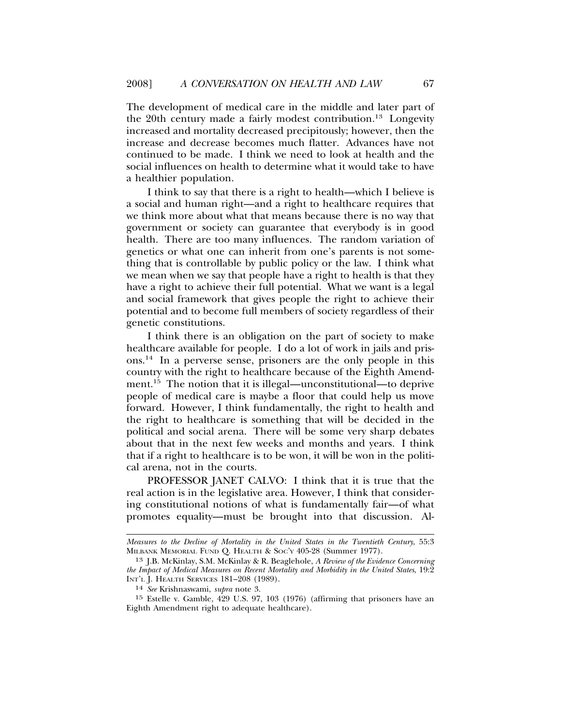The development of medical care in the middle and later part of the 20th century made a fairly modest contribution.<sup>13</sup> Longevity increased and mortality decreased precipitously; however, then the increase and decrease becomes much flatter. Advances have not continued to be made. I think we need to look at health and the social influences on health to determine what it would take to have a healthier population.

I think to say that there is a right to health—which I believe is a social and human right—and a right to healthcare requires that we think more about what that means because there is no way that government or society can guarantee that everybody is in good health. There are too many influences. The random variation of genetics or what one can inherit from one's parents is not something that is controllable by public policy or the law. I think what we mean when we say that people have a right to health is that they have a right to achieve their full potential. What we want is a legal and social framework that gives people the right to achieve their potential and to become full members of society regardless of their genetic constitutions.

I think there is an obligation on the part of society to make healthcare available for people. I do a lot of work in jails and prisons.14 In a perverse sense, prisoners are the only people in this country with the right to healthcare because of the Eighth Amendment.<sup>15</sup> The notion that it is illegal—unconstitutional—to deprive people of medical care is maybe a floor that could help us move forward. However, I think fundamentally, the right to health and the right to healthcare is something that will be decided in the political and social arena. There will be some very sharp debates about that in the next few weeks and months and years. I think that if a right to healthcare is to be won, it will be won in the political arena, not in the courts.

PROFESSOR JANET CALVO: I think that it is true that the real action is in the legislative area. However, I think that considering constitutional notions of what is fundamentally fair—of what promotes equality—must be brought into that discussion. Al-

*Measures to the Decline of Mortality in the United States in the Twentieth Century*, 55:3 MILBANK MEMORIAL FUND Q. HEALTH & SOC'Y 405-28 (Summer 1977).

<sup>13</sup> J.B. McKinlay, S.M. McKinlay & R. Beaglehole, *A Review of the Evidence Concerning the Impact of Medical Measures on Recent Mortality and Morbidity in the United States*, 19:2 INT'L J. HEALTH SERVICES 181–208 (1989).

<sup>14</sup> *See* Krishnaswami, *supra* note 3.

<sup>15</sup> Estelle v. Gamble, 429 U.S. 97, 103 (1976) (affirming that prisoners have an Eighth Amendment right to adequate healthcare).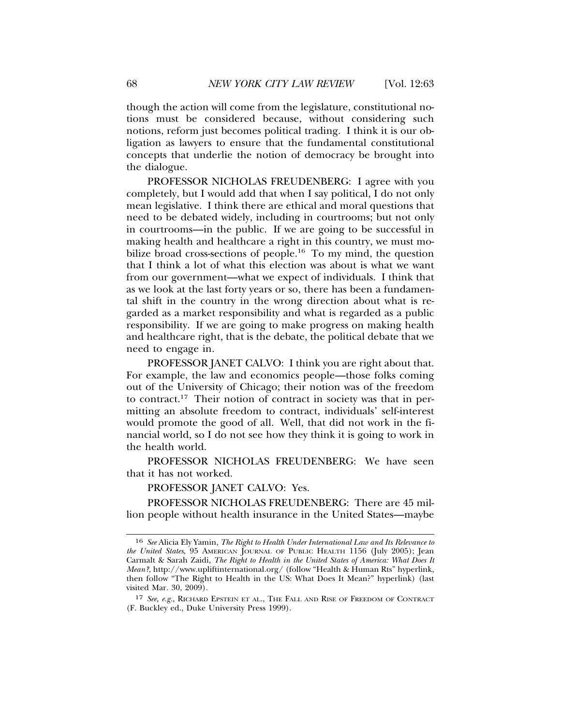though the action will come from the legislature, constitutional notions must be considered because, without considering such notions, reform just becomes political trading. I think it is our obligation as lawyers to ensure that the fundamental constitutional concepts that underlie the notion of democracy be brought into the dialogue.

PROFESSOR NICHOLAS FREUDENBERG: I agree with you completely, but I would add that when I say political, I do not only mean legislative. I think there are ethical and moral questions that need to be debated widely, including in courtrooms; but not only in courtrooms—in the public. If we are going to be successful in making health and healthcare a right in this country, we must mobilize broad cross-sections of people.16 To my mind, the question that I think a lot of what this election was about is what we want from our government—what we expect of individuals. I think that as we look at the last forty years or so, there has been a fundamental shift in the country in the wrong direction about what is regarded as a market responsibility and what is regarded as a public responsibility. If we are going to make progress on making health and healthcare right, that is the debate, the political debate that we need to engage in.

PROFESSOR JANET CALVO: I think you are right about that. For example, the law and economics people—those folks coming out of the University of Chicago; their notion was of the freedom to contract.17 Their notion of contract in society was that in permitting an absolute freedom to contract, individuals' self-interest would promote the good of all. Well, that did not work in the financial world, so I do not see how they think it is going to work in the health world.

PROFESSOR NICHOLAS FREUDENBERG: We have seen that it has not worked.

#### PROFESSOR JANET CALVO: Yes.

PROFESSOR NICHOLAS FREUDENBERG: There are 45 million people without health insurance in the United States—maybe

<sup>16</sup> *See* Alicia Ely Yamin, *The Right to Health Under International Law and Its Relevance to the United States*, 95 AMERICAN JOURNAL OF PUBLIC HEALTH 1156 (July 2005); Jean Carmalt & Sarah Zaidi, *The Right to Health in the United States of America: What Does It Mean?*, http://www.upliftinternational.org/ (follow "Health & Human Rts" hyperlink, then follow "The Right to Health in the US: What Does It Mean?" hyperlink) (last visited Mar. 30, 2009).

<sup>17</sup> *See, e.g.*, RICHARD EPSTEIN ET AL., THE FALL AND RISE OF FREEDOM OF CONTRACT (F. Buckley ed., Duke University Press 1999).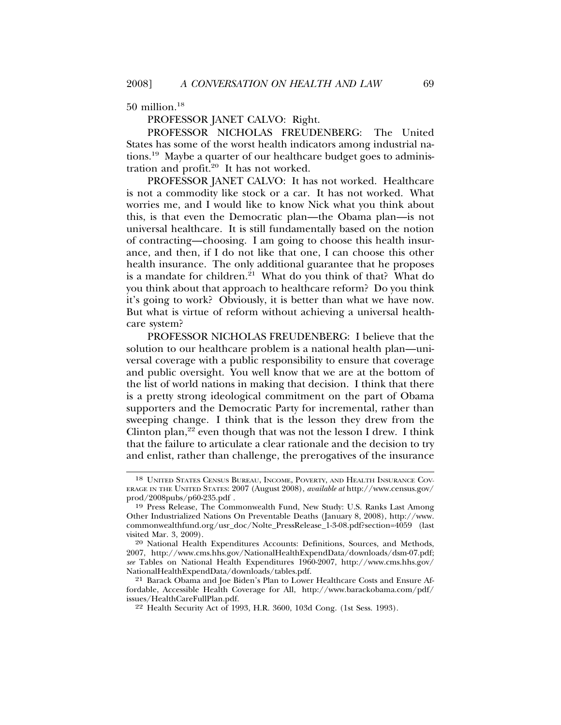50 million.18

PROFESSOR JANET CALVO: Right.

PROFESSOR NICHOLAS FREUDENBERG: The United States has some of the worst health indicators among industrial nations.19 Maybe a quarter of our healthcare budget goes to administration and profit.<sup>20</sup> It has not worked.

PROFESSOR JANET CALVO: It has not worked. Healthcare is not a commodity like stock or a car. It has not worked. What worries me, and I would like to know Nick what you think about this, is that even the Democratic plan—the Obama plan—is not universal healthcare. It is still fundamentally based on the notion of contracting—choosing. I am going to choose this health insurance, and then, if I do not like that one, I can choose this other health insurance. The only additional guarantee that he proposes is a mandate for children. $21$  What do you think of that? What do you think about that approach to healthcare reform? Do you think it's going to work? Obviously, it is better than what we have now. But what is virtue of reform without achieving a universal healthcare system?

PROFESSOR NICHOLAS FREUDENBERG: I believe that the solution to our healthcare problem is a national health plan—universal coverage with a public responsibility to ensure that coverage and public oversight. You well know that we are at the bottom of the list of world nations in making that decision. I think that there is a pretty strong ideological commitment on the part of Obama supporters and the Democratic Party for incremental, rather than sweeping change. I think that is the lesson they drew from the Clinton plan,<sup>22</sup> even though that was not the lesson I drew. I think that the failure to articulate a clear rationale and the decision to try and enlist, rather than challenge, the prerogatives of the insurance

<sup>18</sup> UNITED STATES CENSUS BUREAU, INCOME, POVERTY, AND HEALTH INSURANCE COV-ERAGE IN THE UNITED STATES: 2007 (August 2008), *available at* http://www.census.gov/ prod/2008pubs/p60-235.pdf .

<sup>19</sup> Press Release, The Commonwealth Fund, New Study: U.S. Ranks Last Among Other Industrialized Nations On Preventable Deaths (January 8, 2008), http://www. commonwealthfund.org/usr\_doc/Nolte\_PressRelease\_1-3-08.pdf?section=4059 (last visited Mar. 3, 2009).

<sup>20</sup> National Health Expenditures Accounts: Definitions, Sources, and Methods, 2007, http://www.cms.hhs.gov/NationalHealthExpendData/downloads/dsm-07.pdf; *see* Tables on National Health Expenditures 1960-2007, http://www.cms.hhs.gov/ NationalHealthExpendData/downloads/tables.pdf.

<sup>21</sup> Barack Obama and Joe Biden's Plan to Lower Healthcare Costs and Ensure Affordable, Accessible Health Coverage for All, http://www.barackobama.com/pdf/ issues/HealthCareFullPlan.pdf.

<sup>22</sup> Health Security Act of 1993, H.R. 3600, 103d Cong. (1st Sess. 1993).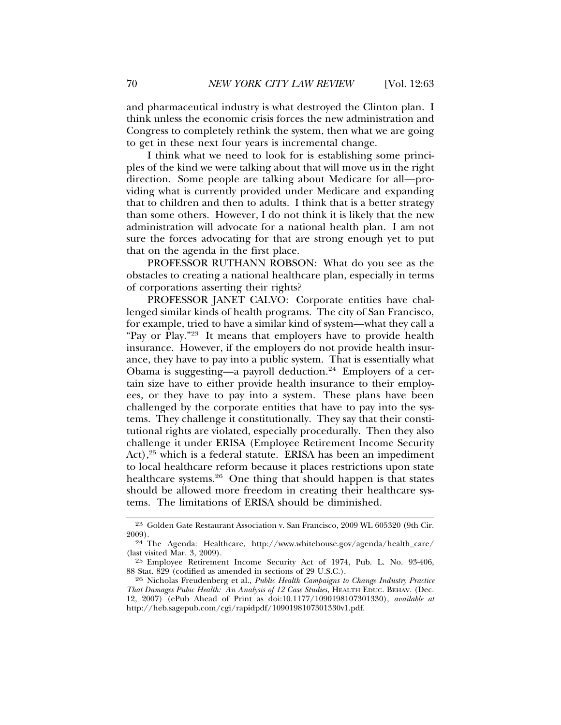and pharmaceutical industry is what destroyed the Clinton plan. I think unless the economic crisis forces the new administration and Congress to completely rethink the system, then what we are going to get in these next four years is incremental change.

I think what we need to look for is establishing some principles of the kind we were talking about that will move us in the right direction. Some people are talking about Medicare for all—providing what is currently provided under Medicare and expanding that to children and then to adults. I think that is a better strategy than some others. However, I do not think it is likely that the new administration will advocate for a national health plan. I am not sure the forces advocating for that are strong enough yet to put that on the agenda in the first place.

PROFESSOR RUTHANN ROBSON: What do you see as the obstacles to creating a national healthcare plan, especially in terms of corporations asserting their rights?

PROFESSOR JANET CALVO: Corporate entities have challenged similar kinds of health programs. The city of San Francisco, for example, tried to have a similar kind of system—what they call a "Pay or Play."23 It means that employers have to provide health insurance. However, if the employers do not provide health insurance, they have to pay into a public system. That is essentially what Obama is suggesting—a payroll deduction.<sup>24</sup> Employers of a certain size have to either provide health insurance to their employees, or they have to pay into a system. These plans have been challenged by the corporate entities that have to pay into the systems. They challenge it constitutionally. They say that their constitutional rights are violated, especially procedurally. Then they also challenge it under ERISA (Employee Retirement Income Security Act), $25$  which is a federal statute. ERISA has been an impediment to local healthcare reform because it places restrictions upon state healthcare systems.<sup>26</sup> One thing that should happen is that states should be allowed more freedom in creating their healthcare systems. The limitations of ERISA should be diminished.

<sup>23</sup> Golden Gate Restaurant Association v. San Francisco, 2009 WL 605320 (9th Cir. 2009).

<sup>24</sup> The Agenda: Healthcare, http://www.whitehouse.gov/agenda/health\_care/ (last visited Mar. 3, 2009).

<sup>25</sup> Employee Retirement Income Security Act of 1974, Pub. L. No. 93-406, 88 Stat. 829 (codified as amended in sections of 29 U.S.C.).

<sup>26</sup> Nicholas Freudenberg et al., *Public Health Campaigns to Change Industry Practice That Damages Pubic Health: An Analysis of 12 Case Studies*, HEALTH EDUC. BEHAV. (Dec. 12, 2007) (ePub Ahead of Print as doi:10.1177/1090198107301330), *available at* http://heb.sagepub.com/cgi/rapidpdf/1090198107301330v1.pdf.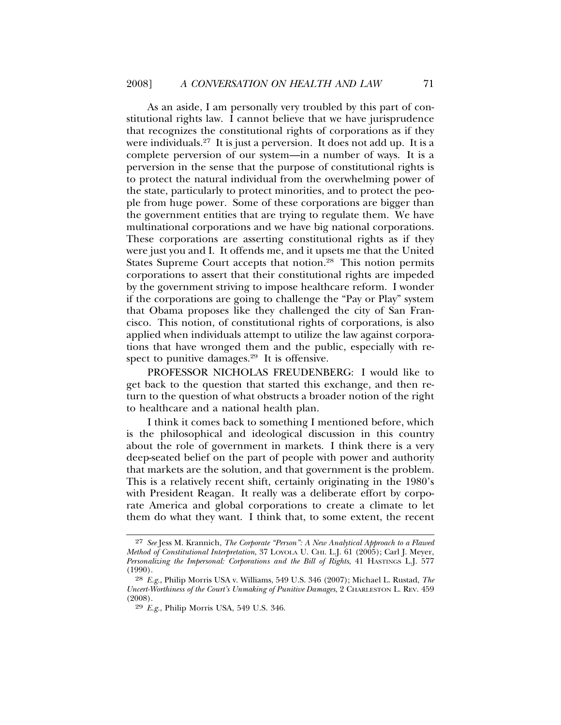As an aside, I am personally very troubled by this part of constitutional rights law. I cannot believe that we have jurisprudence that recognizes the constitutional rights of corporations as if they were individuals.<sup>27</sup> It is just a perversion. It does not add up. It is a complete perversion of our system—in a number of ways. It is a perversion in the sense that the purpose of constitutional rights is to protect the natural individual from the overwhelming power of the state, particularly to protect minorities, and to protect the people from huge power. Some of these corporations are bigger than the government entities that are trying to regulate them. We have multinational corporations and we have big national corporations. These corporations are asserting constitutional rights as if they were just you and I. It offends me, and it upsets me that the United States Supreme Court accepts that notion.<sup>28</sup> This notion permits corporations to assert that their constitutional rights are impeded by the government striving to impose healthcare reform. I wonder if the corporations are going to challenge the "Pay or Play" system that Obama proposes like they challenged the city of San Francisco. This notion, of constitutional rights of corporations, is also applied when individuals attempt to utilize the law against corporations that have wronged them and the public, especially with respect to punitive damages. $29$  It is offensive.

PROFESSOR NICHOLAS FREUDENBERG: I would like to get back to the question that started this exchange, and then return to the question of what obstructs a broader notion of the right to healthcare and a national health plan.

I think it comes back to something I mentioned before, which is the philosophical and ideological discussion in this country about the role of government in markets. I think there is a very deep-seated belief on the part of people with power and authority that markets are the solution, and that government is the problem. This is a relatively recent shift, certainly originating in the 1980's with President Reagan. It really was a deliberate effort by corporate America and global corporations to create a climate to let them do what they want. I think that, to some extent, the recent

<sup>27</sup> *See* Jess M. Krannich, *The Corporate "Person": A New Analytical Approach to a Flawed Method of Constitutional Interpretation*, 37 LOYOLA U. CHI. L.J. 61 (2005); Carl J. Meyer, *Personalizing the Impersonal: Corporations and the Bill of Rights*, 41 HASTINGS L.J. 577 (1990).

<sup>28</sup> *E.g.*, Philip Morris USA v. Williams, 549 U.S. 346 (2007); Michael L. Rustad, *The Uncert-Worthiness of the Court's Unmaking of Punitive Damages*, 2 CHARLESTON L. REV. 459 (2008).

<sup>29</sup> *E.g.*, Philip Morris USA, 549 U.S. 346.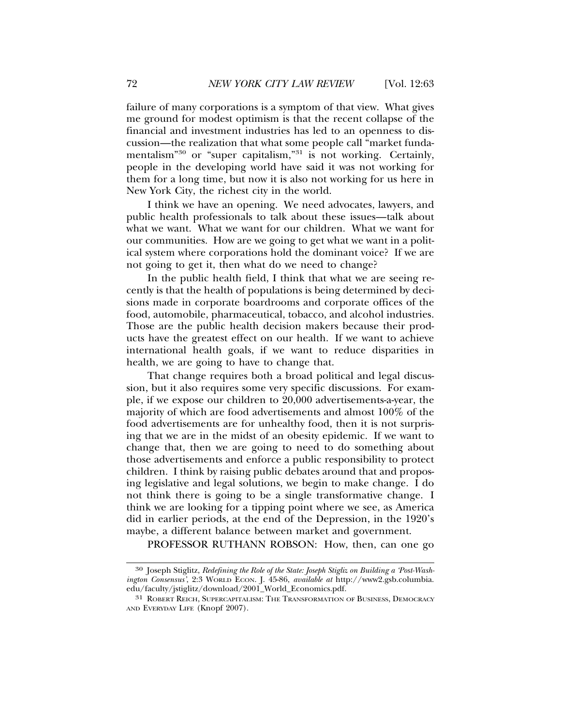failure of many corporations is a symptom of that view. What gives me ground for modest optimism is that the recent collapse of the financial and investment industries has led to an openness to discussion—the realization that what some people call "market fundamentalism<sup>"30</sup> or "super capitalism,"<sup>31</sup> is not working. Certainly, people in the developing world have said it was not working for them for a long time, but now it is also not working for us here in New York City, the richest city in the world.

I think we have an opening. We need advocates, lawyers, and public health professionals to talk about these issues—talk about what we want. What we want for our children. What we want for our communities. How are we going to get what we want in a political system where corporations hold the dominant voice? If we are not going to get it, then what do we need to change?

In the public health field, I think that what we are seeing recently is that the health of populations is being determined by decisions made in corporate boardrooms and corporate offices of the food, automobile, pharmaceutical, tobacco, and alcohol industries. Those are the public health decision makers because their products have the greatest effect on our health. If we want to achieve international health goals, if we want to reduce disparities in health, we are going to have to change that.

That change requires both a broad political and legal discussion, but it also requires some very specific discussions. For example, if we expose our children to 20,000 advertisements-a-year, the majority of which are food advertisements and almost 100% of the food advertisements are for unhealthy food, then it is not surprising that we are in the midst of an obesity epidemic. If we want to change that, then we are going to need to do something about those advertisements and enforce a public responsibility to protect children. I think by raising public debates around that and proposing legislative and legal solutions, we begin to make change. I do not think there is going to be a single transformative change. I think we are looking for a tipping point where we see, as America did in earlier periods, at the end of the Depression, in the 1920's maybe, a different balance between market and government.

PROFESSOR RUTHANN ROBSON: How, then, can one go

<sup>30</sup> Joseph Stiglitz, *Redefining the Role of the State: Joseph Stigliz on Building a 'Post-Washington Consensus'*, 2:3 WORLD ECON. J. 45-86, *available at* http://www2.gsb.columbia. edu/faculty/jstiglitz/download/2001\_World\_Economics.pdf.

<sup>31</sup> ROBERT REICH, SUPERCAPITALISM: THE TRANSFORMATION OF BUSINESS, DEMOCRACY AND EVERYDAY LIFE (Knopf 2007).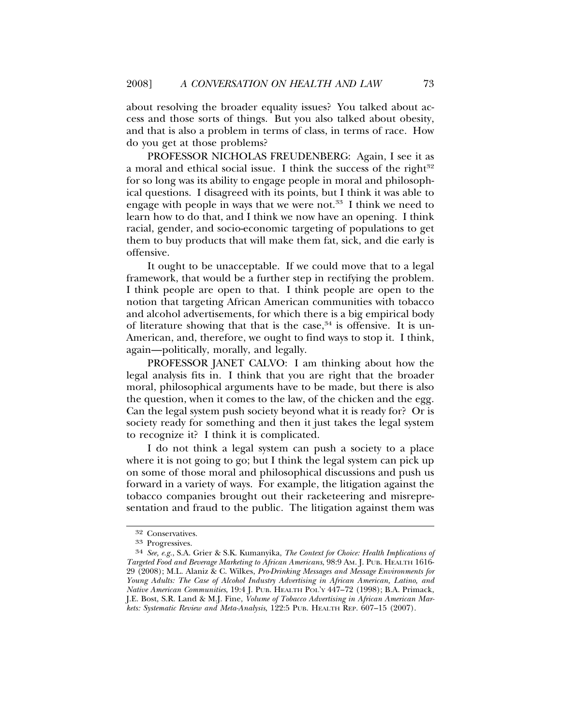about resolving the broader equality issues? You talked about access and those sorts of things. But you also talked about obesity, and that is also a problem in terms of class, in terms of race. How do you get at those problems?

PROFESSOR NICHOLAS FREUDENBERG: Again, I see it as a moral and ethical social issue. I think the success of the right $32$ for so long was its ability to engage people in moral and philosophical questions. I disagreed with its points, but I think it was able to engage with people in ways that we were not.<sup>33</sup> I think we need to learn how to do that, and I think we now have an opening. I think racial, gender, and socio-economic targeting of populations to get them to buy products that will make them fat, sick, and die early is offensive.

It ought to be unacceptable. If we could move that to a legal framework, that would be a further step in rectifying the problem. I think people are open to that. I think people are open to the notion that targeting African American communities with tobacco and alcohol advertisements, for which there is a big empirical body of literature showing that that is the case,  $34$  is offensive. It is un-American, and, therefore, we ought to find ways to stop it. I think, again—politically, morally, and legally.

PROFESSOR JANET CALVO: I am thinking about how the legal analysis fits in. I think that you are right that the broader moral, philosophical arguments have to be made, but there is also the question, when it comes to the law, of the chicken and the egg. Can the legal system push society beyond what it is ready for? Or is society ready for something and then it just takes the legal system to recognize it? I think it is complicated.

I do not think a legal system can push a society to a place where it is not going to go; but I think the legal system can pick up on some of those moral and philosophical discussions and push us forward in a variety of ways. For example, the litigation against the tobacco companies brought out their racketeering and misrepresentation and fraud to the public. The litigation against them was

<sup>32</sup> Conservatives.

<sup>33</sup> Progressives.

<sup>34</sup> *See, e.g.*, S.A. Grier & S.K. Kumanyika, *The Context for Choice: Health Implications of Targeted Food and Beverage Marketing to African Americans*, 98:9 AM. J. PUB. HEALTH 1616- 29 (2008); M.L. Alaniz & C. Wilkes, *Pro-Drinking Messages and Message Environments for Young Adults: The Case of Alcohol Industry Advertising in African American, Latino, and Native American Communities*, 19:4 J. PUB. HEALTH POL'Y 447–72 (1998); B.A. Primack, J.E. Bost, S.R. Land & M.J. Fine, *Volume of Tobacco Advertising in African American Markets: Systematic Review and Meta-Analysis*, 122:5 PUB. HEALTH REP. 607–15 (2007).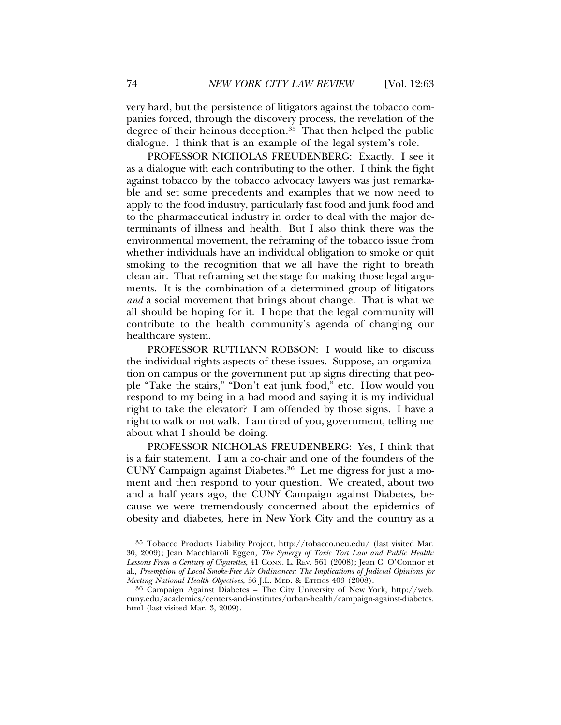very hard, but the persistence of litigators against the tobacco companies forced, through the discovery process, the revelation of the degree of their heinous deception. $35$  That then helped the public dialogue. I think that is an example of the legal system's role.

PROFESSOR NICHOLAS FREUDENBERG: Exactly. I see it as a dialogue with each contributing to the other. I think the fight against tobacco by the tobacco advocacy lawyers was just remarkable and set some precedents and examples that we now need to apply to the food industry, particularly fast food and junk food and to the pharmaceutical industry in order to deal with the major determinants of illness and health. But I also think there was the environmental movement, the reframing of the tobacco issue from whether individuals have an individual obligation to smoke or quit smoking to the recognition that we all have the right to breath clean air. That reframing set the stage for making those legal arguments. It is the combination of a determined group of litigators *and* a social movement that brings about change. That is what we all should be hoping for it. I hope that the legal community will contribute to the health community's agenda of changing our healthcare system.

PROFESSOR RUTHANN ROBSON: I would like to discuss the individual rights aspects of these issues. Suppose, an organization on campus or the government put up signs directing that people "Take the stairs," "Don't eat junk food," etc. How would you respond to my being in a bad mood and saying it is my individual right to take the elevator? I am offended by those signs. I have a right to walk or not walk. I am tired of you, government, telling me about what I should be doing.

PROFESSOR NICHOLAS FREUDENBERG: Yes, I think that is a fair statement. I am a co-chair and one of the founders of the CUNY Campaign against Diabetes.36 Let me digress for just a moment and then respond to your question. We created, about two and a half years ago, the CUNY Campaign against Diabetes, because we were tremendously concerned about the epidemics of obesity and diabetes, here in New York City and the country as a

<sup>35</sup> Tobacco Products Liability Project, http://tobacco.neu.edu/ (last visited Mar. 30, 2009); Jean Macchiaroli Eggen, *The Synergy of Toxic Tort Law and Public Health: Lessons From a Century of Cigarettes*, 41 CONN. L. REV. 561 (2008); Jean C. O'Connor et al., *Preemption of Local Smoke-Free Air Ordinances: The Implications of Judicial Opinions for*

<sup>&</sup>lt;sup>36</sup> Campaign Against Diabetes – The City University of New York, http://web. cuny.edu/academics/centers-and-institutes/urban-health/campaign-against-diabetes. html (last visited Mar. 3, 2009).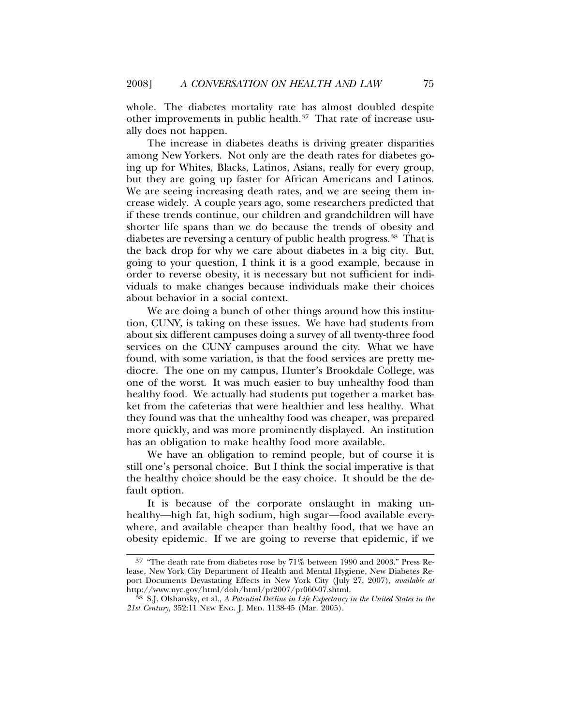whole. The diabetes mortality rate has almost doubled despite other improvements in public health.37 That rate of increase usually does not happen.

The increase in diabetes deaths is driving greater disparities among New Yorkers. Not only are the death rates for diabetes going up for Whites, Blacks, Latinos, Asians, really for every group, but they are going up faster for African Americans and Latinos. We are seeing increasing death rates, and we are seeing them increase widely. A couple years ago, some researchers predicted that if these trends continue, our children and grandchildren will have shorter life spans than we do because the trends of obesity and diabetes are reversing a century of public health progress.38 That is the back drop for why we care about diabetes in a big city. But, going to your question, I think it is a good example, because in order to reverse obesity, it is necessary but not sufficient for individuals to make changes because individuals make their choices about behavior in a social context.

We are doing a bunch of other things around how this institution, CUNY, is taking on these issues. We have had students from about six different campuses doing a survey of all twenty-three food services on the CUNY campuses around the city. What we have found, with some variation, is that the food services are pretty mediocre. The one on my campus, Hunter's Brookdale College, was one of the worst. It was much easier to buy unhealthy food than healthy food. We actually had students put together a market basket from the cafeterias that were healthier and less healthy. What they found was that the unhealthy food was cheaper, was prepared more quickly, and was more prominently displayed. An institution has an obligation to make healthy food more available.

We have an obligation to remind people, but of course it is still one's personal choice. But I think the social imperative is that the healthy choice should be the easy choice. It should be the default option.

It is because of the corporate onslaught in making unhealthy—high fat, high sodium, high sugar—food available everywhere, and available cheaper than healthy food, that we have an obesity epidemic. If we are going to reverse that epidemic, if we

<sup>37</sup> "The death rate from diabetes rose by 71% between 1990 and 2003." Press Release, New York City Department of Health and Mental Hygiene, New Diabetes Report Documents Devastating Effects in New York City (July 27, 2007), *available at*

<sup>&</sup>lt;sup>38</sup> S.J. Olshansky, et al., *A Potential Decline in Life Expectancy in the United States in the 21st Century*, 352:11 NEW ENG. J. MED. 1138-45 (Mar. 2005).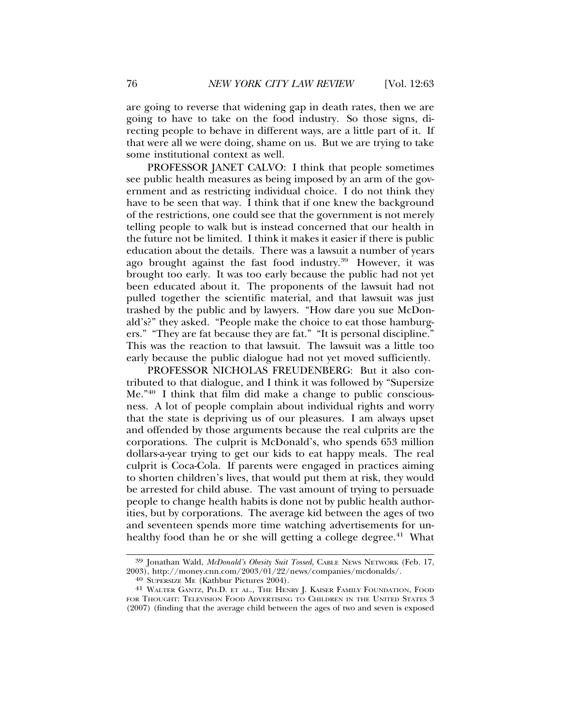are going to reverse that widening gap in death rates, then we are going to have to take on the food industry. So those signs, directing people to behave in different ways, are a little part of it. If that were all we were doing, shame on us. But we are trying to take some institutional context as well.

PROFESSOR JANET CALVO: I think that people sometimes see public health measures as being imposed by an arm of the government and as restricting individual choice. I do not think they have to be seen that way. I think that if one knew the background of the restrictions, one could see that the government is not merely telling people to walk but is instead concerned that our health in the future not be limited. I think it makes it easier if there is public education about the details. There was a lawsuit a number of years ago brought against the fast food industry.39 However, it was brought too early. It was too early because the public had not yet been educated about it. The proponents of the lawsuit had not pulled together the scientific material, and that lawsuit was just trashed by the public and by lawyers. "How dare you sue McDonald's?" they asked. "People make the choice to eat those hamburgers." "They are fat because they are fat." "It is personal discipline." This was the reaction to that lawsuit. The lawsuit was a little too early because the public dialogue had not yet moved sufficiently.

PROFESSOR NICHOLAS FREUDENBERG: But it also contributed to that dialogue, and I think it was followed by "Supersize Me."40 I think that film did make a change to public consciousness. A lot of people complain about individual rights and worry that the state is depriving us of our pleasures. I am always upset and offended by those arguments because the real culprits are the corporations. The culprit is McDonald's, who spends 653 million dollars-a-year trying to get our kids to eat happy meals. The real culprit is Coca-Cola. If parents were engaged in practices aiming to shorten children's lives, that would put them at risk, they would be arrested for child abuse. The vast amount of trying to persuade people to change health habits is done not by public health authorities, but by corporations. The average kid between the ages of two and seventeen spends more time watching advertisements for unhealthy food than he or she will getting a college degree.<sup>41</sup> What

<sup>&</sup>lt;sup>39</sup> Jonathan Wald, *McDonald's Obesity Suit Tossed*, CABLE NEWS NETWORK (Feb. 17, 2003), http://money.cnn.com/2003/01/22/news/companies/mcdonalds/.

<sup>&</sup>lt;sup>40</sup> SUPERSIZE ME (Kathbur Pictures 2004).<br><sup>41</sup> WALTER GANTZ, PH.D. ET AL., THE HENRY J. KAISER FAMILY FOUNDATION, FOOD FOR THOUGHT: TELEVISION FOOD ADVERTISING TO CHILDREN IN THE UNITED STATES 3 (2007) (finding that the average child between the ages of two and seven is exposed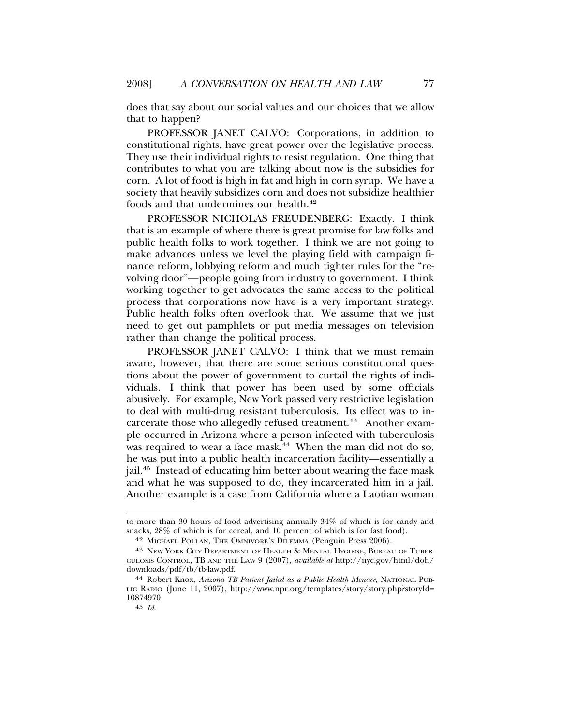does that say about our social values and our choices that we allow that to happen?

PROFESSOR JANET CALVO: Corporations, in addition to constitutional rights, have great power over the legislative process. They use their individual rights to resist regulation. One thing that contributes to what you are talking about now is the subsidies for corn. A lot of food is high in fat and high in corn syrup. We have a society that heavily subsidizes corn and does not subsidize healthier foods and that undermines our health.<sup>42</sup>

PROFESSOR NICHOLAS FREUDENBERG: Exactly. I think that is an example of where there is great promise for law folks and public health folks to work together. I think we are not going to make advances unless we level the playing field with campaign finance reform, lobbying reform and much tighter rules for the "revolving door"—people going from industry to government. I think working together to get advocates the same access to the political process that corporations now have is a very important strategy. Public health folks often overlook that. We assume that we just need to get out pamphlets or put media messages on television rather than change the political process.

PROFESSOR JANET CALVO: I think that we must remain aware, however, that there are some serious constitutional questions about the power of government to curtail the rights of individuals. I think that power has been used by some officials abusively. For example, New York passed very restrictive legislation to deal with multi-drug resistant tuberculosis. Its effect was to incarcerate those who allegedly refused treatment.<sup>43</sup> Another example occurred in Arizona where a person infected with tuberculosis was required to wear a face mask. $44$  When the man did not do so, he was put into a public health incarceration facility—essentially a jail.45 Instead of educating him better about wearing the face mask and what he was supposed to do, they incarcerated him in a jail. Another example is a case from California where a Laotian woman

to more than 30 hours of food advertising annually 34% of which is for candy and snacks, 28% of which is for cereal, and 10 percent of which is for fast food).

<sup>42</sup> MICHAEL POLLAN, THE OMNIVORE'S DILEMMA (Penguin Press 2006).

<sup>43</sup> NEW YORK CITY DEPARTMENT OF HEALTH & MENTAL HYGIENE, BUREAU OF TUBER-CULOSIS CONTROL, TB AND THE LAW 9 (2007), *available at* http://nyc.gov/html/doh/ downloads/pdf/tb/tb-law.pdf.

<sup>44</sup> Robert Knox, *Arizona TB Patient Jailed as a Public Health Menace*, NATIONAL PUB-LIC RADIO (June 11, 2007), http://www.npr.org/templates/story/story.php?storyId= 10874970

<sup>45</sup> *Id*.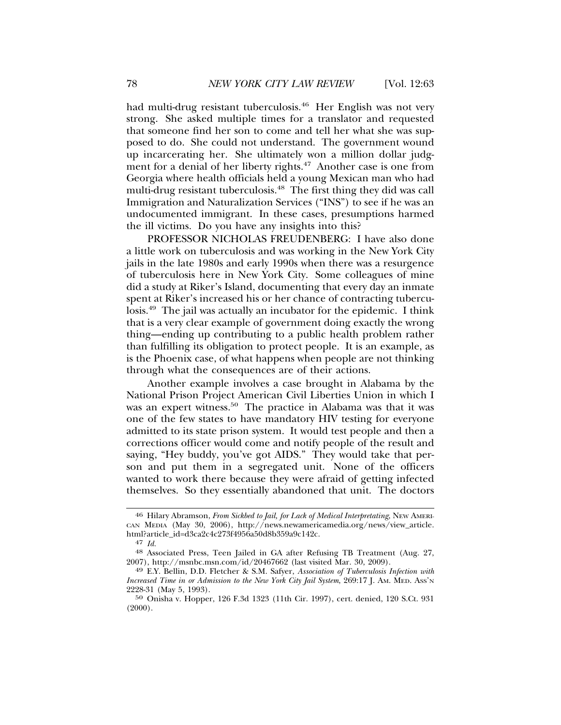had multi-drug resistant tuberculosis.<sup>46</sup> Her English was not very strong. She asked multiple times for a translator and requested that someone find her son to come and tell her what she was supposed to do. She could not understand. The government wound up incarcerating her. She ultimately won a million dollar judgment for a denial of her liberty rights.<sup>47</sup> Another case is one from Georgia where health officials held a young Mexican man who had multi-drug resistant tuberculosis.<sup>48</sup> The first thing they did was call Immigration and Naturalization Services ("INS") to see if he was an undocumented immigrant. In these cases, presumptions harmed the ill victims. Do you have any insights into this?

PROFESSOR NICHOLAS FREUDENBERG: I have also done a little work on tuberculosis and was working in the New York City jails in the late 1980s and early 1990s when there was a resurgence of tuberculosis here in New York City. Some colleagues of mine did a study at Riker's Island, documenting that every day an inmate spent at Riker's increased his or her chance of contracting tuberculosis.49 The jail was actually an incubator for the epidemic. I think that is a very clear example of government doing exactly the wrong thing—ending up contributing to a public health problem rather than fulfilling its obligation to protect people. It is an example, as is the Phoenix case, of what happens when people are not thinking through what the consequences are of their actions.

Another example involves a case brought in Alabama by the National Prison Project American Civil Liberties Union in which I was an expert witness.<sup>50</sup> The practice in Alabama was that it was one of the few states to have mandatory HIV testing for everyone admitted to its state prison system. It would test people and then a corrections officer would come and notify people of the result and saying, "Hey buddy, you've got AIDS." They would take that person and put them in a segregated unit. None of the officers wanted to work there because they were afraid of getting infected themselves. So they essentially abandoned that unit. The doctors

<sup>46</sup> Hilary Abramson, *From Sickbed to Jail, for Lack of Medical Interpretating*, NEW AMERI-CAN MEDIA (May 30, 2006), http://news.newamericamedia.org/news/view\_article. html?article\_id=d3ca2c4c273f4956a50d8b359a9c142c.<br><sup>47</sup> Id.

<sup>&</sup>lt;sup>48</sup> Associated Press, Teen Jailed in GA after Refusing TB Treatment (Aug. 27, 2007), http://msnbc.msn.com/id/20467662 (last visited Mar. 30, 2009).

<sup>&</sup>lt;sup>49</sup> E.Y. Bellin, D.D. Fletcher & S.M. Safyer, *Association of Tuberculosis Infection with Increased Time in or Admission to the New York City Jail System*, 269:17 J. AM. MED. ASS'N 2228-31 (May 5, 1993).

<sup>50</sup> Onisha v. Hopper, 126 F.3d 1323 (11th Cir. 1997), cert. denied, 120 S.Ct. 931 (2000).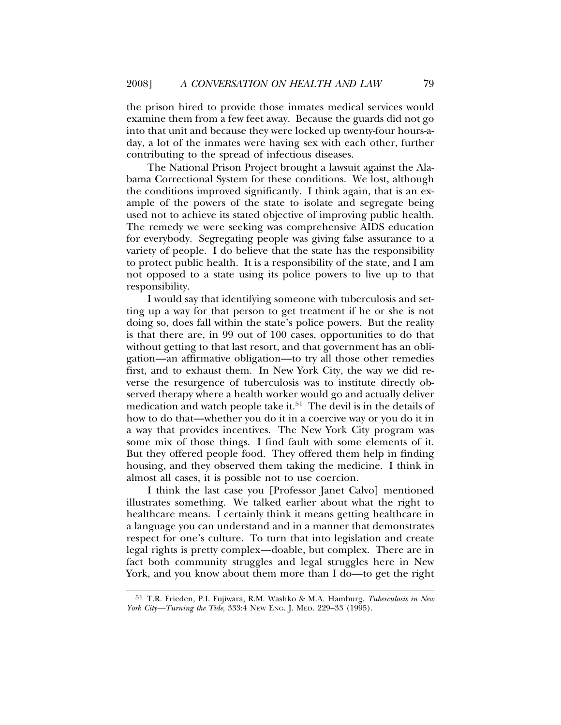the prison hired to provide those inmates medical services would examine them from a few feet away. Because the guards did not go into that unit and because they were locked up twenty-four hours-aday, a lot of the inmates were having sex with each other, further contributing to the spread of infectious diseases.

The National Prison Project brought a lawsuit against the Alabama Correctional System for these conditions. We lost, although the conditions improved significantly. I think again, that is an example of the powers of the state to isolate and segregate being used not to achieve its stated objective of improving public health. The remedy we were seeking was comprehensive AIDS education for everybody. Segregating people was giving false assurance to a variety of people. I do believe that the state has the responsibility to protect public health. It is a responsibility of the state, and I am not opposed to a state using its police powers to live up to that responsibility.

I would say that identifying someone with tuberculosis and setting up a way for that person to get treatment if he or she is not doing so, does fall within the state's police powers. But the reality is that there are, in 99 out of 100 cases, opportunities to do that without getting to that last resort, and that government has an obligation—an affirmative obligation—to try all those other remedies first, and to exhaust them. In New York City, the way we did reverse the resurgence of tuberculosis was to institute directly observed therapy where a health worker would go and actually deliver medication and watch people take it. $51$  The devil is in the details of how to do that—whether you do it in a coercive way or you do it in a way that provides incentives. The New York City program was some mix of those things. I find fault with some elements of it. But they offered people food. They offered them help in finding housing, and they observed them taking the medicine. I think in almost all cases, it is possible not to use coercion.

I think the last case you [Professor Janet Calvo] mentioned illustrates something. We talked earlier about what the right to healthcare means. I certainly think it means getting healthcare in a language you can understand and in a manner that demonstrates respect for one's culture. To turn that into legislation and create legal rights is pretty complex—doable, but complex. There are in fact both community struggles and legal struggles here in New York, and you know about them more than I do—to get the right

<sup>51</sup> T.R. Frieden, P.I. Fujiwara, R.M. Washko & M.A. Hamburg, *Tuberculosis in New York City—Turning the Tide*, 333:4 NEW ENG. J. MED. 229–33 (1995).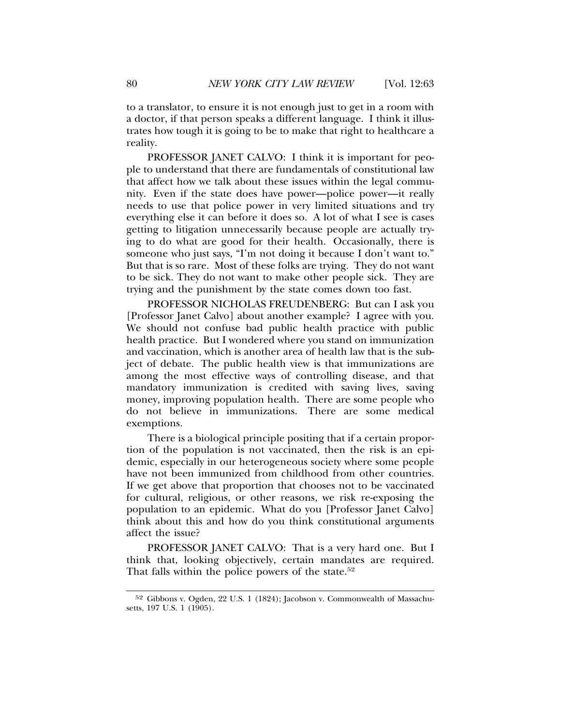to a translator, to ensure it is not enough just to get in a room with a doctor, if that person speaks a different language. I think it illustrates how tough it is going to be to make that right to healthcare a reality.

PROFESSOR JANET CALVO: I think it is important for people to understand that there are fundamentals of constitutional law that affect how we talk about these issues within the legal community. Even if the state does have power—police power—it really needs to use that police power in very limited situations and try everything else it can before it does so. A lot of what I see is cases getting to litigation unnecessarily because people are actually trying to do what are good for their health. Occasionally, there is someone who just says, "I'm not doing it because I don't want to." But that is so rare. Most of these folks are trying. They do not want to be sick. They do not want to make other people sick. They are trying and the punishment by the state comes down too fast.

PROFESSOR NICHOLAS FREUDENBERG: But can I ask you [Professor Janet Calvo] about another example? I agree with you. We should not confuse bad public health practice with public health practice. But I wondered where you stand on immunization and vaccination, which is another area of health law that is the subject of debate. The public health view is that immunizations are among the most effective ways of controlling disease, and that mandatory immunization is credited with saving lives, saving money, improving population health. There are some people who do not believe in immunizations. There are some medical exemptions.

There is a biological principle positing that if a certain proportion of the population is not vaccinated, then the risk is an epidemic, especially in our heterogeneous society where some people have not been immunized from childhood from other countries. If we get above that proportion that chooses not to be vaccinated for cultural, religious, or other reasons, we risk re-exposing the population to an epidemic. What do you [Professor Janet Calvo] think about this and how do you think constitutional arguments affect the issue?

PROFESSOR JANET CALVO: That is a very hard one. But I think that, looking objectively, certain mandates are required. That falls within the police powers of the state.<sup>52</sup>

<sup>52</sup> Gibbons v. Ogden, 22 U.S. 1 (1824); Jacobson v. Commonwealth of Massachusetts, 197 U.S. 1 (1905).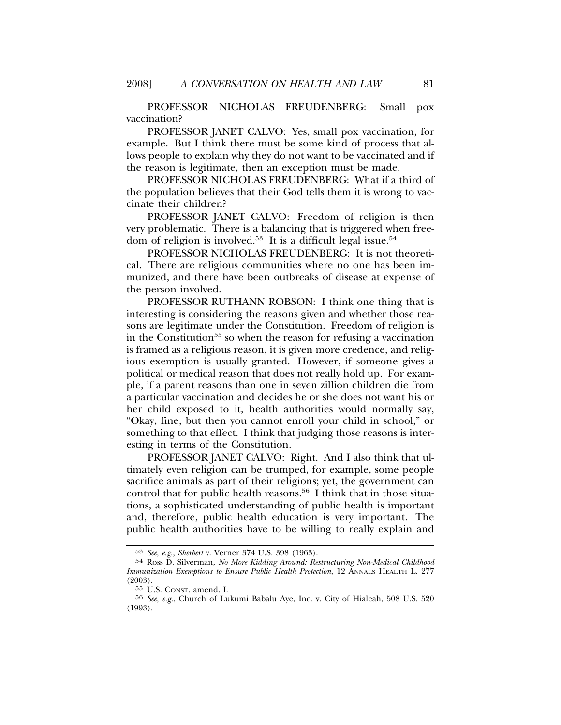#### PROFESSOR NICHOLAS FREUDENBERG: Small pox vaccination?

PROFESSOR JANET CALVO: Yes, small pox vaccination, for example. But I think there must be some kind of process that allows people to explain why they do not want to be vaccinated and if the reason is legitimate, then an exception must be made.

PROFESSOR NICHOLAS FREUDENBERG: What if a third of the population believes that their God tells them it is wrong to vaccinate their children?

PROFESSOR JANET CALVO: Freedom of religion is then very problematic. There is a balancing that is triggered when freedom of religion is involved.<sup>53</sup> It is a difficult legal issue.<sup>54</sup>

PROFESSOR NICHOLAS FREUDENBERG: It is not theoretical. There are religious communities where no one has been immunized, and there have been outbreaks of disease at expense of the person involved.

PROFESSOR RUTHANN ROBSON: I think one thing that is interesting is considering the reasons given and whether those reasons are legitimate under the Constitution. Freedom of religion is in the Constitution<sup>55</sup> so when the reason for refusing a vaccination is framed as a religious reason, it is given more credence, and religious exemption is usually granted. However, if someone gives a political or medical reason that does not really hold up. For example, if a parent reasons than one in seven zillion children die from a particular vaccination and decides he or she does not want his or her child exposed to it, health authorities would normally say, "Okay, fine, but then you cannot enroll your child in school," or something to that effect. I think that judging those reasons is interesting in terms of the Constitution.

PROFESSOR JANET CALVO: Right. And I also think that ultimately even religion can be trumped, for example, some people sacrifice animals as part of their religions; yet, the government can control that for public health reasons.<sup>56</sup> I think that in those situations, a sophisticated understanding of public health is important and, therefore, public health education is very important. The public health authorities have to be willing to really explain and

<sup>53</sup> *See, e.g.*, *Sherbert* v. Verner 374 U.S. 398 (1963).

<sup>54</sup> Ross D. Silverman, *No More Kidding Around: Restructuring Non-Medical Childhood Immunization Exemptions to Ensure Public Health Protection*, 12 ANNALS HEALTH L. 277 (2003).

<sup>55</sup> U.S. CONST. amend. I.

<sup>56</sup> *See, e.g.*, Church of Lukumi Babalu Aye, Inc. v. City of Hialeah, 508 U.S. 520 (1993).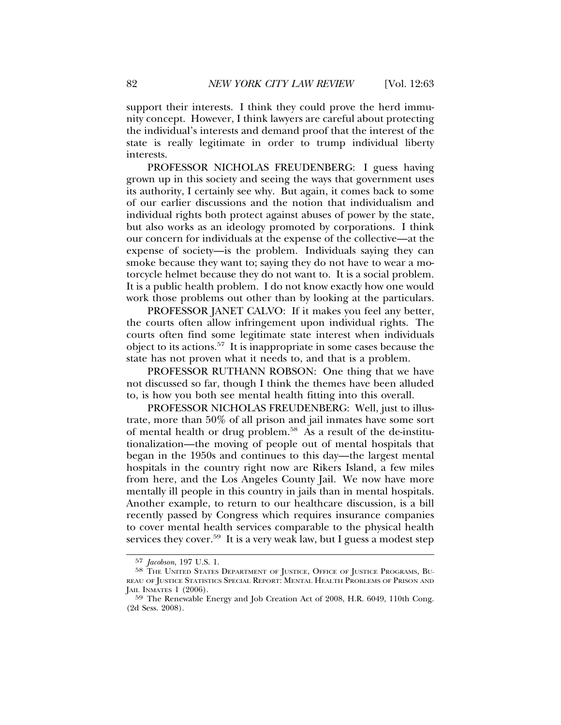support their interests. I think they could prove the herd immunity concept. However, I think lawyers are careful about protecting the individual's interests and demand proof that the interest of the state is really legitimate in order to trump individual liberty interests.

PROFESSOR NICHOLAS FREUDENBERG: I guess having grown up in this society and seeing the ways that government uses its authority, I certainly see why. But again, it comes back to some of our earlier discussions and the notion that individualism and individual rights both protect against abuses of power by the state, but also works as an ideology promoted by corporations. I think our concern for individuals at the expense of the collective—at the expense of society—is the problem. Individuals saying they can smoke because they want to; saying they do not have to wear a motorcycle helmet because they do not want to. It is a social problem. It is a public health problem. I do not know exactly how one would work those problems out other than by looking at the particulars.

PROFESSOR JANET CALVO: If it makes you feel any better, the courts often allow infringement upon individual rights. The courts often find some legitimate state interest when individuals object to its actions.57 It is inappropriate in some cases because the state has not proven what it needs to, and that is a problem.

PROFESSOR RUTHANN ROBSON: One thing that we have not discussed so far, though I think the themes have been alluded to, is how you both see mental health fitting into this overall.

PROFESSOR NICHOLAS FREUDENBERG: Well, just to illustrate, more than 50% of all prison and jail inmates have some sort of mental health or drug problem.<sup>58</sup> As a result of the de-institutionalization—the moving of people out of mental hospitals that began in the 1950s and continues to this day—the largest mental hospitals in the country right now are Rikers Island, a few miles from here, and the Los Angeles County Jail. We now have more mentally ill people in this country in jails than in mental hospitals. Another example, to return to our healthcare discussion, is a bill recently passed by Congress which requires insurance companies to cover mental health services comparable to the physical health services they cover.<sup>59</sup> It is a very weak law, but I guess a modest step

<sup>57</sup> *Jacobson*, 197 U.S. 1.

<sup>58</sup> THE UNITED STATES DEPARTMENT OF JUSTICE, OFFICE OF JUSTICE PROGRAMS, BU-REAU OF JUSTICE STATISTICS SPECIAL REPORT: MENTAL HEALTH PROBLEMS OF PRISON AND JAIL INMATES 1 (2006).

<sup>59</sup> The Renewable Energy and Job Creation Act of 2008, H.R. 6049, 110th Cong. (2d Sess. 2008).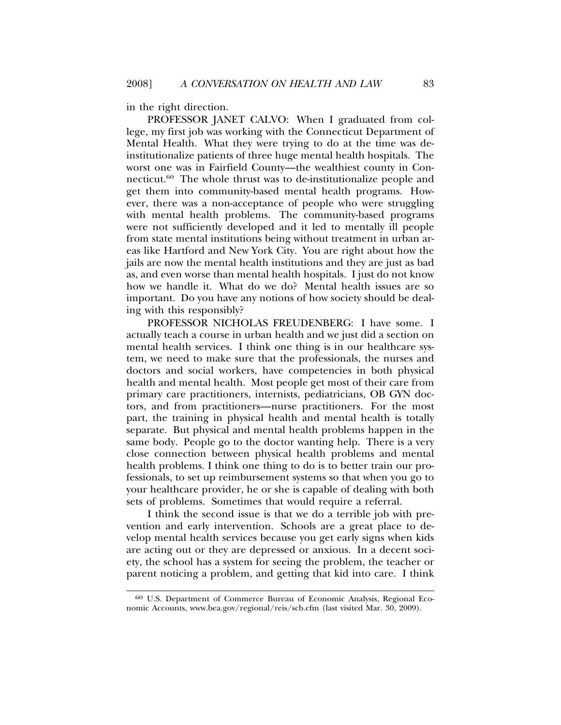in the right direction.

PROFESSOR JANET CALVO: When I graduated from college, my first job was working with the Connecticut Department of Mental Health. What they were trying to do at the time was deinstitutionalize patients of three huge mental health hospitals. The worst one was in Fairfield County—the wealthiest county in Connecticut.60 The whole thrust was to de-institutionalize people and get them into community-based mental health programs. However, there was a non-acceptance of people who were struggling with mental health problems. The community-based programs were not sufficiently developed and it led to mentally ill people from state mental institutions being without treatment in urban areas like Hartford and New York City. You are right about how the jails are now the mental health institutions and they are just as bad as, and even worse than mental health hospitals. I just do not know how we handle it. What do we do? Mental health issues are so important. Do you have any notions of how society should be dealing with this responsibly?

PROFESSOR NICHOLAS FREUDENBERG: I have some. I actually teach a course in urban health and we just did a section on mental health services. I think one thing is in our healthcare system, we need to make sure that the professionals, the nurses and doctors and social workers, have competencies in both physical health and mental health. Most people get most of their care from primary care practitioners, internists, pediatricians, OB GYN doctors, and from practitioners—nurse practitioners. For the most part, the training in physical health and mental health is totally separate. But physical and mental health problems happen in the same body. People go to the doctor wanting help. There is a very close connection between physical health problems and mental health problems. I think one thing to do is to better train our professionals, to set up reimbursement systems so that when you go to your healthcare provider, he or she is capable of dealing with both sets of problems. Sometimes that would require a referral.

I think the second issue is that we do a terrible job with prevention and early intervention. Schools are a great place to develop mental health services because you get early signs when kids are acting out or they are depressed or anxious. In a decent society, the school has a system for seeing the problem, the teacher or parent noticing a problem, and getting that kid into care. I think

<sup>60</sup> U.S. Department of Commerce Bureau of Economic Analysis, Regional Economic Accounts, www.bea.gov/regional/reis/scb.cfm (last visited Mar. 30, 2009).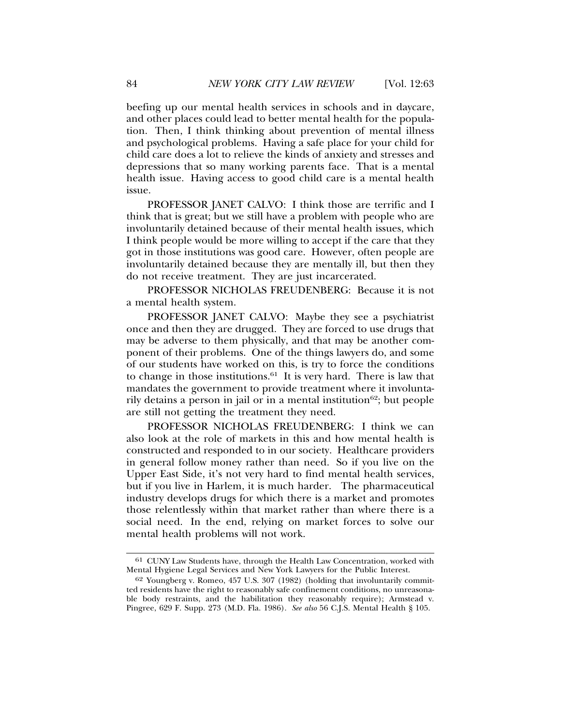beefing up our mental health services in schools and in daycare, and other places could lead to better mental health for the population. Then, I think thinking about prevention of mental illness and psychological problems. Having a safe place for your child for child care does a lot to relieve the kinds of anxiety and stresses and depressions that so many working parents face. That is a mental health issue. Having access to good child care is a mental health issue.

PROFESSOR JANET CALVO: I think those are terrific and I think that is great; but we still have a problem with people who are involuntarily detained because of their mental health issues, which I think people would be more willing to accept if the care that they got in those institutions was good care. However, often people are involuntarily detained because they are mentally ill, but then they do not receive treatment. They are just incarcerated.

PROFESSOR NICHOLAS FREUDENBERG: Because it is not a mental health system.

PROFESSOR JANET CALVO: Maybe they see a psychiatrist once and then they are drugged. They are forced to use drugs that may be adverse to them physically, and that may be another component of their problems. One of the things lawyers do, and some of our students have worked on this, is try to force the conditions to change in those institutions. $61$  It is very hard. There is law that mandates the government to provide treatment where it involuntarily detains a person in jail or in a mental institution<sup>62</sup>; but people are still not getting the treatment they need.

PROFESSOR NICHOLAS FREUDENBERG: I think we can also look at the role of markets in this and how mental health is constructed and responded to in our society. Healthcare providers in general follow money rather than need. So if you live on the Upper East Side, it's not very hard to find mental health services, but if you live in Harlem, it is much harder. The pharmaceutical industry develops drugs for which there is a market and promotes those relentlessly within that market rather than where there is a social need. In the end, relying on market forces to solve our mental health problems will not work.

<sup>61</sup> CUNY Law Students have, through the Health Law Concentration, worked with Mental Hygiene Legal Services and New York Lawyers for the Public Interest.

<sup>62</sup> Youngberg v. Romeo, 457 U.S. 307 (1982) (holding that involuntarily committed residents have the right to reasonably safe confinement conditions, no unreasonable body restraints, and the habilitation they reasonably require); Armstead v. Pingree, 629 F. Supp. 273 (M.D. Fla. 1986). *See also* 56 C.J.S. Mental Health § 105.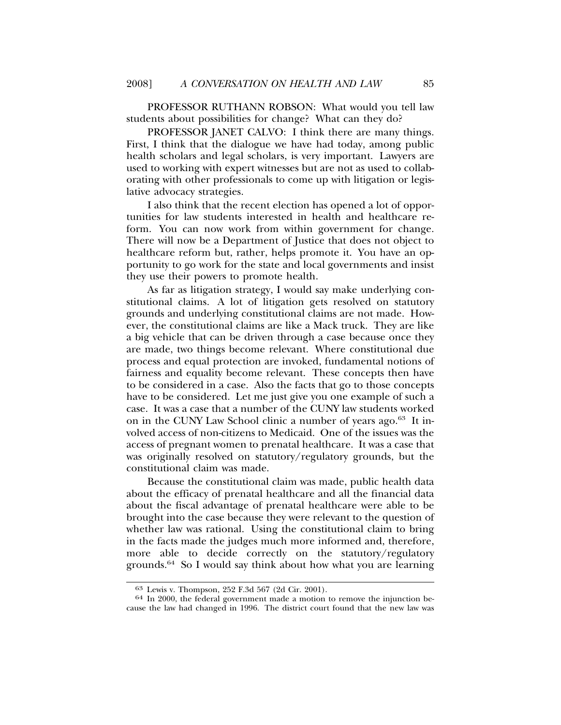PROFESSOR RUTHANN ROBSON: What would you tell law students about possibilities for change? What can they do?

PROFESSOR JANET CALVO: I think there are many things. First, I think that the dialogue we have had today, among public health scholars and legal scholars, is very important. Lawyers are used to working with expert witnesses but are not as used to collaborating with other professionals to come up with litigation or legislative advocacy strategies.

I also think that the recent election has opened a lot of opportunities for law students interested in health and healthcare reform. You can now work from within government for change. There will now be a Department of Justice that does not object to healthcare reform but, rather, helps promote it. You have an opportunity to go work for the state and local governments and insist they use their powers to promote health.

As far as litigation strategy, I would say make underlying constitutional claims. A lot of litigation gets resolved on statutory grounds and underlying constitutional claims are not made. However, the constitutional claims are like a Mack truck. They are like a big vehicle that can be driven through a case because once they are made, two things become relevant. Where constitutional due process and equal protection are invoked, fundamental notions of fairness and equality become relevant. These concepts then have to be considered in a case. Also the facts that go to those concepts have to be considered. Let me just give you one example of such a case. It was a case that a number of the CUNY law students worked on in the CUNY Law School clinic a number of years ago.<sup>63</sup> It involved access of non-citizens to Medicaid. One of the issues was the access of pregnant women to prenatal healthcare. It was a case that was originally resolved on statutory/regulatory grounds, but the constitutional claim was made.

Because the constitutional claim was made, public health data about the efficacy of prenatal healthcare and all the financial data about the fiscal advantage of prenatal healthcare were able to be brought into the case because they were relevant to the question of whether law was rational. Using the constitutional claim to bring in the facts made the judges much more informed and, therefore, more able to decide correctly on the statutory/regulatory grounds.64 So I would say think about how what you are learning

 $63$  Lewis v. Thompson, 252 F.3d 567 (2d Cir. 2001).<br> $64$  In 2000, the federal government made a motion to remove the injunction because the law had changed in 1996. The district court found that the new law was